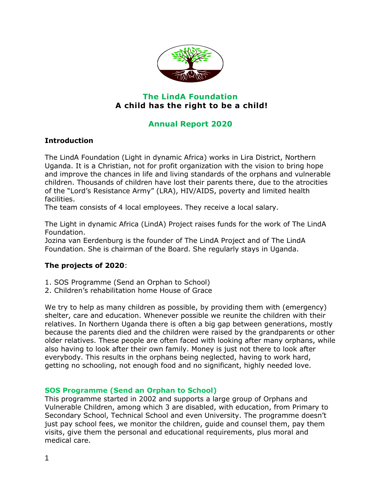

# **The LindA Foundation A child has the right to be a child!**

# **Annual Report 2020**

### **Introduction**

The LindA Foundation (Light in dynamic Africa) works in Lira District, Northern Uganda. It is a Christian, not for profit organization with the vision to bring hope and improve the chances in life and living standards of the orphans and vulnerable children. Thousands of children have lost their parents there, due to the atrocities of the "Lord's Resistance Army" (LRA), HIV/AIDS, poverty and limited health facilities.

The team consists of 4 local employees. They receive a local salary.

The Light in dynamic Africa (LindA) Project raises funds for the work of The LindA Foundation.

Jozina van Eerdenburg is the founder of The LindA Project and of The LindA Foundation. She is chairman of the Board. She regularly stays in Uganda.

## **The projects of 2020**:

- 1. SOS Programme (Send an Orphan to School)
- 2. Children's rehabilitation home House of Grace

We try to help as many children as possible, by providing them with (emergency) shelter, care and education. Whenever possible we reunite the children with their relatives. In Northern Uganda there is often a big gap between generations, mostly because the parents died and the children were raised by the grandparents or other older relatives. These people are often faced with looking after many orphans, while also having to look after their own family. Money is just not there to look after everybody. This results in the orphans being neglected, having to work hard, getting no schooling, not enough food and no significant, highly needed love.

#### **SOS Programme (Send an Orphan to School)**

This programme started in 2002 and supports a large group of Orphans and Vulnerable Children, among which 3 are disabled, with education, from Primary to Secondary School, Technical School and even University. The programme doesn't just pay school fees, we monitor the children, guide and counsel them, pay them visits, give them the personal and educational requirements, plus moral and medical care.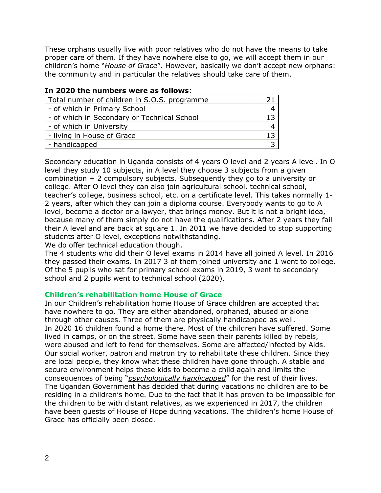These orphans usually live with poor relatives who do not have the means to take proper care of them. If they have nowhere else to go, we will accept them in our children's home "*House of Grace*". However, basically we don't accept new orphans: the community and in particular the relatives should take care of them.

| <u>III ZUZU LIIE IIUIIIDEIS WEIE AS IUIIUWS.</u> |    |
|--------------------------------------------------|----|
| Total number of children in S.O.S. programme     |    |
| - of which in Primary School                     |    |
| - of which in Secondary or Technical School      | 13 |
| - of which in University                         |    |
| - living in House of Grace                       | 13 |
| - handicapped                                    |    |

#### **In 2020 the numbers were as follows**:

Secondary education in Uganda consists of 4 years O level and 2 years A level. In O level they study 10 subjects, in A level they choose 3 subjects from a given combination + 2 compulsory subjects. Subsequently they go to a university or college. After O level they can also join agricultural school, technical school, teacher's college, business school, etc. on a certificate level. This takes normally 1- 2 years, after which they can join a diploma course. Everybody wants to go to A level, become a doctor or a lawyer, that brings money. But it is not a bright idea, because many of them simply do not have the qualifications. After 2 years they fail their A level and are back at square 1. In 2011 we have decided to stop supporting students after O level, exceptions notwithstanding.

We do offer technical education though.

The 4 students who did their O level exams in 2014 have all joined A level. In 2016 they passed their exams. In 2017 3 of them joined university and 1 went to college. Of the 5 pupils who sat for primary school exams in 2019, 3 went to secondary school and 2 pupils went to technical school (2020).

#### **Children's rehabilitation home House of Grace**

In our Children's rehabilitation home House of Grace children are accepted that have nowhere to go. They are either abandoned, orphaned, abused or alone through other causes. Three of them are physically handicapped as well. In 2020 16 children found a home there. Most of the children have suffered. Some lived in camps, or on the street. Some have seen their parents killed by rebels, were abused and left to fend for themselves. Some are affected/infected by Aids. Our social worker, patron and matron try to rehabilitate these children. Since they are local people, they know what these children have gone through. A stable and secure environment helps these kids to become a child again and limits the consequences of being "*psychologically handicapped*" for the rest of their lives. The Ugandan Government has decided that during vacations no children are to be residing in a children's home. Due to the fact that it has proven to be impossible for the children to be with distant relatives, as we experienced in 2017, the children have been guests of House of Hope during vacations. The children's home House of Grace has officially been closed.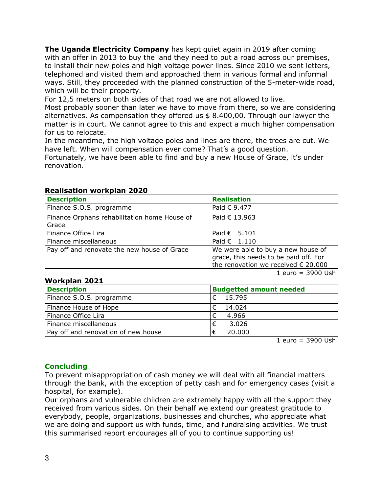**The Uganda Electricity Company** has kept quiet again in 2019 after coming with an offer in 2013 to buy the land they need to put a road across our premises, to install their new poles and high voltage power lines. Since 2010 we sent letters, telephoned and visited them and approached them in various formal and informal ways. Still, they proceeded with the planned construction of the 5-meter-wide road, which will be their property.

For 12,5 meters on both sides of that road we are not allowed to live.

Most probably sooner than later we have to move from there, so we are considering alternatives. As compensation they offered us \$ 8.400,00. Through our lawyer the matter is in court. We cannot agree to this and expect a much higher compensation for us to relocate.

In the meantime, the high voltage poles and lines are there, the trees are cut. We have left. When will compensation ever come? That's a good question.

Fortunately, we have been able to find and buy a new House of Grace, it's under renovation.

| <b>Description</b>                                    | <b>Realisation</b>                                                                                                          |
|-------------------------------------------------------|-----------------------------------------------------------------------------------------------------------------------------|
| Finance S.O.S. programme                              | Paid € 9.477                                                                                                                |
| Finance Orphans rehabilitation home House of<br>Grace | Paid € 13.963                                                                                                               |
| Finance Office Lira                                   | Paid $\epsilon$ 5.101                                                                                                       |
| Finance miscellaneous                                 | Paid $\epsilon$ 1.110                                                                                                       |
| Pay off and renovate the new house of Grace           | We were able to buy a new house of<br>grace, this needs to be paid off. For<br>the renovation we received $\epsilon$ 20.000 |

#### **Realisation workplan 2020**

**Workplan 2021**

| <b>Description</b>                  | <b>Budgetted amount needed</b> |
|-------------------------------------|--------------------------------|
| Finance S.O.S. programme            | 15.795                         |
| Finance House of Hope               | 14.024                         |
| Finance Office Lira                 | 4.966                          |
| Finance miscellaneous               | 3.026                          |
| Pay off and renovation of new house | 20,000                         |

1 euro  $= 3900$  Ush

1 euro = 3900 Ush

#### **Concluding**

To prevent misappropriation of cash money we will deal with all financial matters through the bank, with the exception of petty cash and for emergency cases (visit a hospital, for example).

Our orphans and vulnerable children are extremely happy with all the support they received from various sides. On their behalf we extend our greatest gratitude to everybody, people, organizations, businesses and churches, who appreciate what we are doing and support us with funds, time, and fundraising activities. We trust this summarised report encourages all of you to continue supporting us!